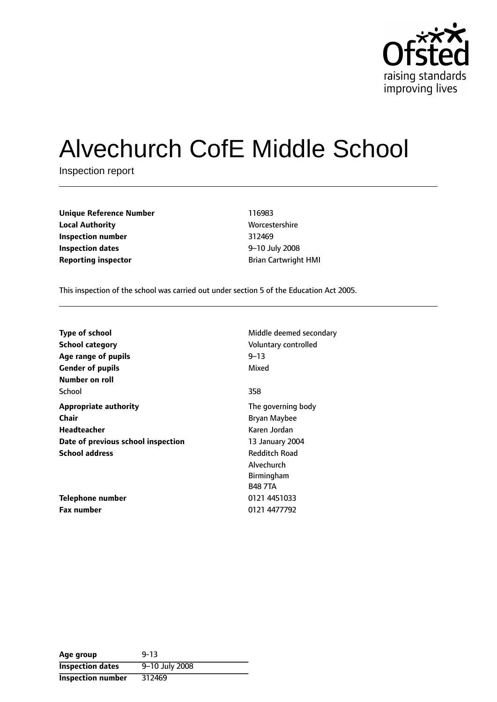

# Alvechurch CofE Middle School

Inspection report

| <b>Unique Reference Number</b> |
|--------------------------------|
| <b>Local Authority</b>         |
| Inspection number              |
| <b>Inspection dates</b>        |
| <b>Reporting inspector</b>     |

**Unique Reference Number** 116983 **Worcestershire Inspection number** 312469 **9-10 July 2008 Reporting inspector Reporting inspector Example 2 Brian Cartwright HMI** 

This inspection of the school was carried out under section 5 of the Education Act 2005.

| <b>Type of school</b>              | Middle deemed secondary |
|------------------------------------|-------------------------|
| <b>School category</b>             | Voluntary controlled    |
| Age range of pupils                | $9 - 13$                |
| <b>Gender of pupils</b>            | Mixed                   |
| Number on roll                     |                         |
| School                             | 358                     |
| <b>Appropriate authority</b>       | The governing body      |
| Chair                              | Bryan Maybee            |
| Headteacher                        | Karen Jordan            |
| Date of previous school inspection | 13 January 2004         |
| <b>School address</b>              | <b>Redditch Road</b>    |
|                                    | Alvechurch              |
|                                    | <b>Birmingham</b>       |
|                                    | <b>B48 7TA</b>          |
| Telephone number                   | 0121 4451033            |
| <b>Fax number</b>                  | 0121 4477792            |

| Age group               | $9 - 13$       |
|-------------------------|----------------|
| <b>Inspection dates</b> | 9-10 July 2008 |
| Inspection number       | 312469         |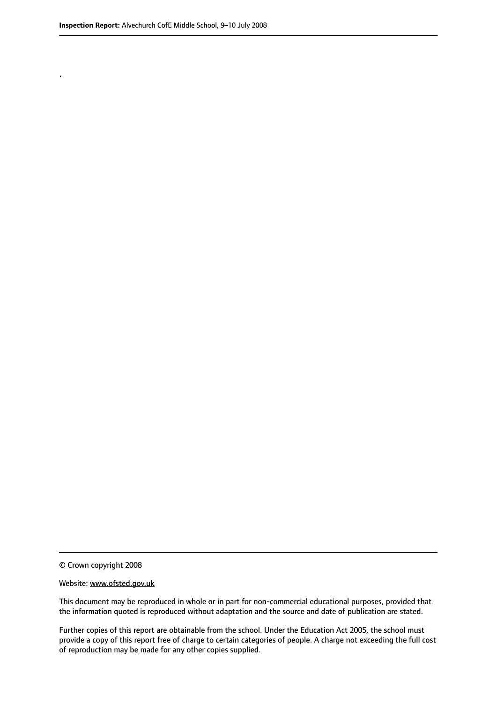.

© Crown copyright 2008

#### Website: www.ofsted.gov.uk

This document may be reproduced in whole or in part for non-commercial educational purposes, provided that the information quoted is reproduced without adaptation and the source and date of publication are stated.

Further copies of this report are obtainable from the school. Under the Education Act 2005, the school must provide a copy of this report free of charge to certain categories of people. A charge not exceeding the full cost of reproduction may be made for any other copies supplied.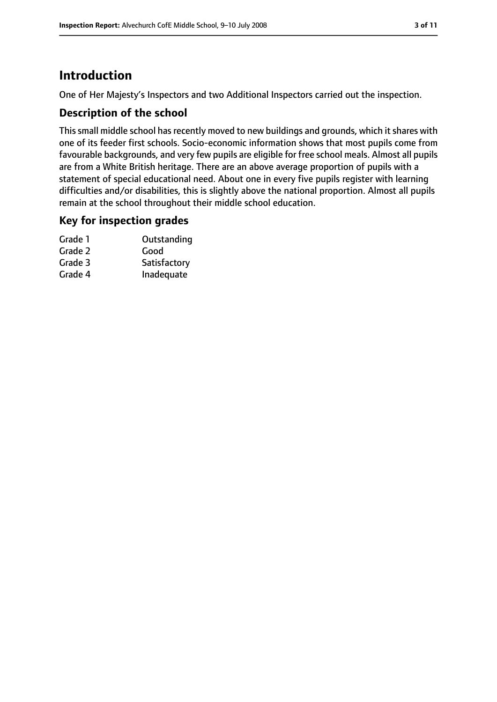# **Introduction**

One of Her Majesty's Inspectors and two Additional Inspectors carried out the inspection.

## **Description of the school**

This small middle school has recently moved to new buildings and grounds, which it shares with one of its feeder first schools. Socio-economic information shows that most pupils come from favourable backgrounds, and very few pupils are eligible for free school meals. Almost all pupils are from a White British heritage. There are an above average proportion of pupils with a statement of special educational need. About one in every five pupils register with learning difficulties and/or disabilities, this is slightly above the national proportion. Almost all pupils remain at the school throughout their middle school education.

#### **Key for inspection grades**

| Grade 1 | Outstanding  |
|---------|--------------|
| Grade 2 | Good         |
| Grade 3 | Satisfactory |
| Grade 4 | Inadequate   |
|         |              |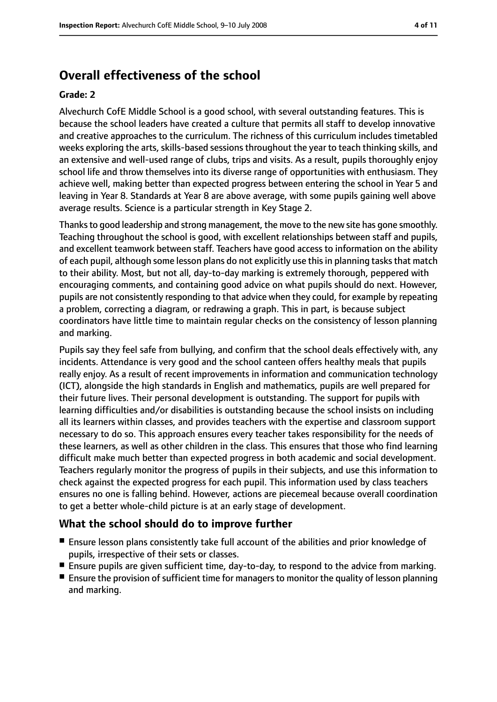## **Overall effectiveness of the school**

#### **Grade: 2**

Alvechurch CofE Middle School is a good school, with several outstanding features. This is because the school leaders have created a culture that permits all staff to develop innovative and creative approaches to the curriculum. The richness of this curriculum includes timetabled weeks exploring the arts, skills-based sessions throughout the year to teach thinking skills, and an extensive and well-used range of clubs, trips and visits. As a result, pupils thoroughly enjoy school life and throw themselves into its diverse range of opportunities with enthusiasm. They achieve well, making better than expected progress between entering the school in Year 5 and leaving in Year 8. Standards at Year 8 are above average, with some pupils gaining well above average results. Science is a particular strength in Key Stage 2.

Thanks to good leadership and strong management, the move to the new site has gone smoothly. Teaching throughout the school is good, with excellent relationships between staff and pupils, and excellent teamwork between staff. Teachers have good access to information on the ability of each pupil, although some lesson plans do not explicitly use this in planning tasks that match to their ability. Most, but not all, day-to-day marking is extremely thorough, peppered with encouraging comments, and containing good advice on what pupils should do next. However, pupils are not consistently responding to that advice when they could, for example by repeating a problem, correcting a diagram, or redrawing a graph. This in part, is because subject coordinators have little time to maintain regular checks on the consistency of lesson planning and marking.

Pupils say they feel safe from bullying, and confirm that the school deals effectively with, any incidents. Attendance is very good and the school canteen offers healthy meals that pupils really enjoy. As a result of recent improvements in information and communication technology (ICT), alongside the high standards in English and mathematics, pupils are well prepared for their future lives. Their personal development is outstanding. The support for pupils with learning difficulties and/or disabilities is outstanding because the school insists on including all its learners within classes, and provides teachers with the expertise and classroom support necessary to do so. This approach ensures every teacher takes responsibility for the needs of these learners, as well as other children in the class. This ensures that those who find learning difficult make much better than expected progress in both academic and social development. Teachers regularly monitor the progress of pupils in their subjects, and use this information to check against the expected progress for each pupil. This information used by class teachers ensures no one is falling behind. However, actions are piecemeal because overall coordination to get a better whole-child picture is at an early stage of development.

#### **What the school should do to improve further**

- Ensure lesson plans consistently take full account of the abilities and prior knowledge of pupils, irrespective of their sets or classes.
- Ensure pupils are given sufficient time, day-to-day, to respond to the advice from marking.
- Ensure the provision of sufficient time for managers to monitor the quality of lesson planning and marking.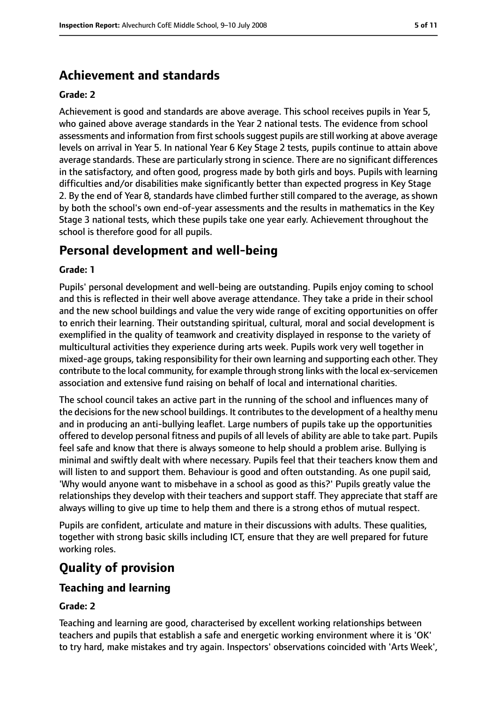## **Achievement and standards**

#### **Grade: 2**

Achievement is good and standards are above average. This school receives pupils in Year 5, who gained above average standards in the Year 2 national tests. The evidence from school assessments and information from first schools suggest pupils are still working at above average levels on arrival in Year 5. In national Year 6 Key Stage 2 tests, pupils continue to attain above average standards. These are particularly strong in science. There are no significant differences in the satisfactory, and often good, progress made by both girls and boys. Pupils with learning difficulties and/or disabilities make significantly better than expected progress in Key Stage 2. By the end of Year 8, standards have climbed further still compared to the average, as shown by both the school's own end-of-year assessments and the results in mathematics in the Key Stage 3 national tests, which these pupils take one year early. Achievement throughout the school is therefore good for all pupils.

## **Personal development and well-being**

#### **Grade: 1**

Pupils' personal development and well-being are outstanding. Pupils enjoy coming to school and this is reflected in their well above average attendance. They take a pride in their school and the new school buildings and value the very wide range of exciting opportunities on offer to enrich their learning. Their outstanding spiritual, cultural, moral and social development is exemplified in the quality of teamwork and creativity displayed in response to the variety of multicultural activities they experience during arts week. Pupils work very well together in mixed-age groups, taking responsibility for their own learning and supporting each other. They contribute to the local community, for example through strong links with the local ex-servicemen association and extensive fund raising on behalf of local and international charities.

The school council takes an active part in the running of the school and influences many of the decisions for the new school buildings. It contributes to the development of a healthy menu and in producing an anti-bullying leaflet. Large numbers of pupils take up the opportunities offered to develop personal fitness and pupils of all levels of ability are able to take part. Pupils feel safe and know that there is always someone to help should a problem arise. Bullying is minimal and swiftly dealt with where necessary. Pupils feel that their teachers know them and will listen to and support them. Behaviour is good and often outstanding. As one pupil said, 'Why would anyone want to misbehave in a school as good as this?' Pupils greatly value the relationships they develop with their teachers and support staff. They appreciate that staff are always willing to give up time to help them and there is a strong ethos of mutual respect.

Pupils are confident, articulate and mature in their discussions with adults. These qualities, together with strong basic skills including ICT, ensure that they are well prepared for future working roles.

# **Quality of provision**

#### **Teaching and learning**

#### **Grade: 2**

Teaching and learning are good, characterised by excellent working relationships between teachers and pupils that establish a safe and energetic working environment where it is 'OK' to try hard, make mistakes and try again. Inspectors' observations coincided with 'Arts Week',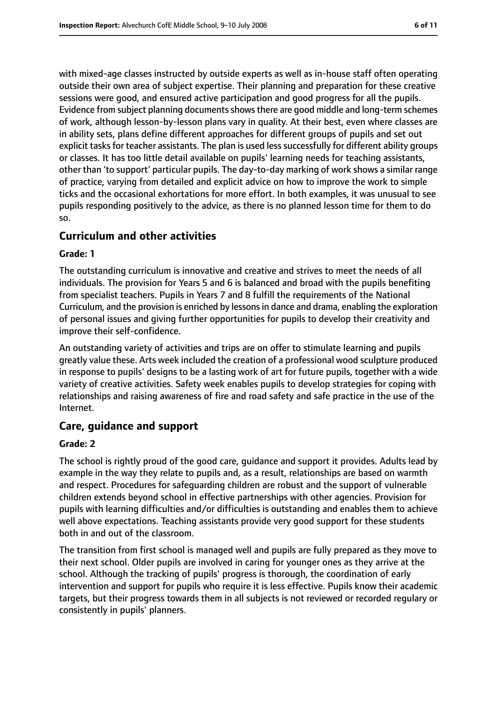with mixed-age classes instructed by outside experts as well as in-house staff often operating outside their own area of subject expertise. Their planning and preparation for these creative sessions were good, and ensured active participation and good progress for all the pupils. Evidence from subject planning documents shows there are good middle and long-term schemes of work, although lesson-by-lesson plans vary in quality. At their best, even where classes are in ability sets, plans define different approaches for different groups of pupils and set out explicit tasks for teacher assistants. The plan is used less successfully for different ability groups or classes. It has too little detail available on pupils' learning needs for teaching assistants, other than 'to support' particular pupils. The day-to-day marking of work shows a similar range of practice, varying from detailed and explicit advice on how to improve the work to simple ticks and the occasional exhortations for more effort. In both examples, it was unusual to see pupils responding positively to the advice, as there is no planned lesson time for them to do so.

#### **Curriculum and other activities**

#### **Grade: 1**

The outstanding curriculum is innovative and creative and strives to meet the needs of all individuals. The provision for Years 5 and 6 is balanced and broad with the pupils benefiting from specialist teachers. Pupils in Years 7 and 8 fulfill the requirements of the National Curriculum, and the provision is enriched by lessonsin dance and drama, enabling the exploration of personal issues and giving further opportunities for pupils to develop their creativity and improve their self-confidence.

An outstanding variety of activities and trips are on offer to stimulate learning and pupils greatly value these. Arts week included the creation of a professional wood sculpture produced in response to pupils' designs to be a lasting work of art for future pupils, together with a wide variety of creative activities. Safety week enables pupils to develop strategies for coping with relationships and raising awareness of fire and road safety and safe practice in the use of the Internet.

#### **Care, guidance and support**

#### **Grade: 2**

The school is rightly proud of the good care, guidance and support it provides. Adults lead by example in the way they relate to pupils and, as a result, relationships are based on warmth and respect. Procedures for safeguarding children are robust and the support of vulnerable children extends beyond school in effective partnerships with other agencies. Provision for pupils with learning difficulties and/or difficulties is outstanding and enables them to achieve well above expectations. Teaching assistants provide very good support for these students both in and out of the classroom.

The transition from first school is managed well and pupils are fully prepared as they move to their next school. Older pupils are involved in caring for younger ones as they arrive at the school. Although the tracking of pupils' progress is thorough, the coordination of early intervention and support for pupils who require it is less effective. Pupils know their academic targets, but their progress towards them in all subjects is not reviewed or recorded regulary or consistently in pupils' planners.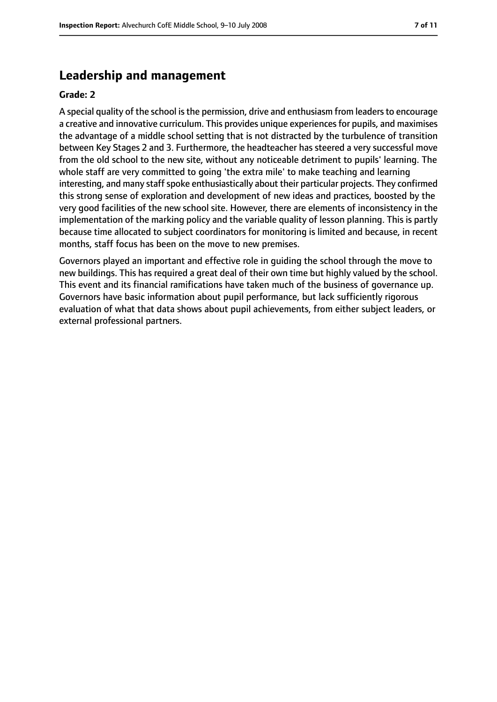## **Leadership and management**

#### **Grade: 2**

A special quality of the school is the permission, drive and enthusiasm from leaders to encourage a creative and innovative curriculum. This provides unique experiences for pupils, and maximises the advantage of a middle school setting that is not distracted by the turbulence of transition between Key Stages 2 and 3. Furthermore, the headteacher has steered a very successful move from the old school to the new site, without any noticeable detriment to pupils' learning. The whole staff are very committed to going 'the extra mile' to make teaching and learning interesting, and many staff spoke enthusiastically about their particular projects. They confirmed this strong sense of exploration and development of new ideas and practices, boosted by the very good facilities of the new school site. However, there are elements of inconsistency in the implementation of the marking policy and the variable quality of lesson planning. This is partly because time allocated to subject coordinators for monitoring is limited and because, in recent months, staff focus has been on the move to new premises.

Governors played an important and effective role in guiding the school through the move to new buildings. This has required a great deal of their own time but highly valued by the school. This event and its financial ramifications have taken much of the business of governance up. Governors have basic information about pupil performance, but lack sufficiently rigorous evaluation of what that data shows about pupil achievements, from either subject leaders, or external professional partners.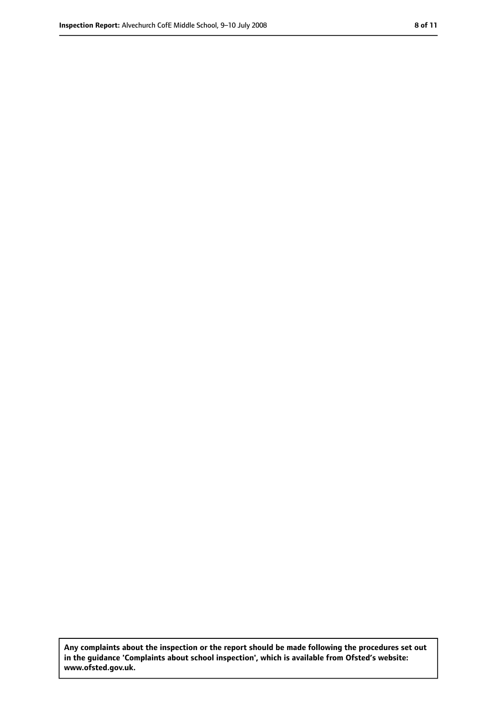**Any complaints about the inspection or the report should be made following the procedures set out in the guidance 'Complaints about school inspection', which is available from Ofsted's website: www.ofsted.gov.uk.**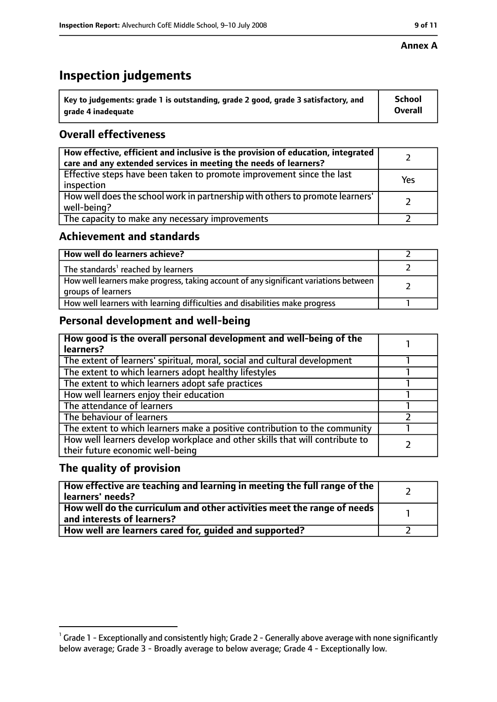#### **Annex A**

## **Inspection judgements**

| Key to judgements: grade 1 is outstanding, grade 2 good, grade 3 satisfactory, and | <b>School</b>  |
|------------------------------------------------------------------------------------|----------------|
| grade 4 inadequate                                                                 | <b>Overall</b> |

## **Overall effectiveness**

| How effective, efficient and inclusive is the provision of education, integrated<br>care and any extended services in meeting the needs of learners? |     |
|------------------------------------------------------------------------------------------------------------------------------------------------------|-----|
| Effective steps have been taken to promote improvement since the last<br>inspection                                                                  | Yes |
| How well does the school work in partnership with others to promote learners'<br>well-being?                                                         |     |
| The capacity to make any necessary improvements                                                                                                      |     |

## **Achievement and standards**

| How well do learners achieve?                                                                               |  |
|-------------------------------------------------------------------------------------------------------------|--|
| The standards <sup>1</sup> reached by learners                                                              |  |
| How well learners make progress, taking account of any significant variations between<br>groups of learners |  |
| How well learners with learning difficulties and disabilities make progress                                 |  |

## **Personal development and well-being**

| How good is the overall personal development and well-being of the<br>learners?                                  |  |
|------------------------------------------------------------------------------------------------------------------|--|
| The extent of learners' spiritual, moral, social and cultural development                                        |  |
| The extent to which learners adopt healthy lifestyles                                                            |  |
| The extent to which learners adopt safe practices                                                                |  |
| How well learners enjoy their education                                                                          |  |
| The attendance of learners                                                                                       |  |
| The behaviour of learners                                                                                        |  |
| The extent to which learners make a positive contribution to the community                                       |  |
| How well learners develop workplace and other skills that will contribute to<br>their future economic well-being |  |

## **The quality of provision**

| How effective are teaching and learning in meeting the full range of the<br>learners' needs?                     |  |
|------------------------------------------------------------------------------------------------------------------|--|
| How well do the curriculum and other activities meet the range of needs<br>$^{\rm t}$ and interests of learners? |  |
| How well are learners cared for, guided and supported?                                                           |  |

 $^1$  Grade 1 - Exceptionally and consistently high; Grade 2 - Generally above average with none significantly below average; Grade 3 - Broadly average to below average; Grade 4 - Exceptionally low.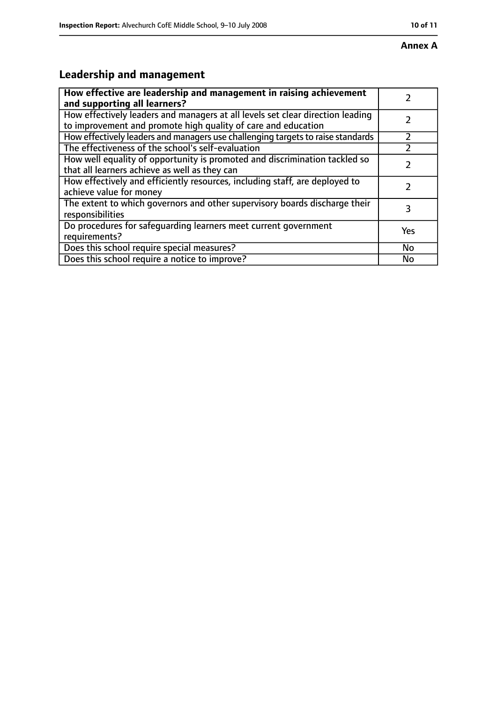# **Leadership and management**

| How effective are leadership and management in raising achievement<br>and supporting all learners?                                              |     |
|-------------------------------------------------------------------------------------------------------------------------------------------------|-----|
| How effectively leaders and managers at all levels set clear direction leading<br>to improvement and promote high quality of care and education |     |
| How effectively leaders and managers use challenging targets to raise standards                                                                 |     |
| The effectiveness of the school's self-evaluation                                                                                               |     |
| How well equality of opportunity is promoted and discrimination tackled so<br>that all learners achieve as well as they can                     |     |
| How effectively and efficiently resources, including staff, are deployed to<br>achieve value for money                                          |     |
| The extent to which governors and other supervisory boards discharge their<br>responsibilities                                                  | 3   |
| Do procedures for safequarding learners meet current government<br>requirements?                                                                | Yes |
| Does this school require special measures?                                                                                                      | No  |
| Does this school require a notice to improve?                                                                                                   | No  |